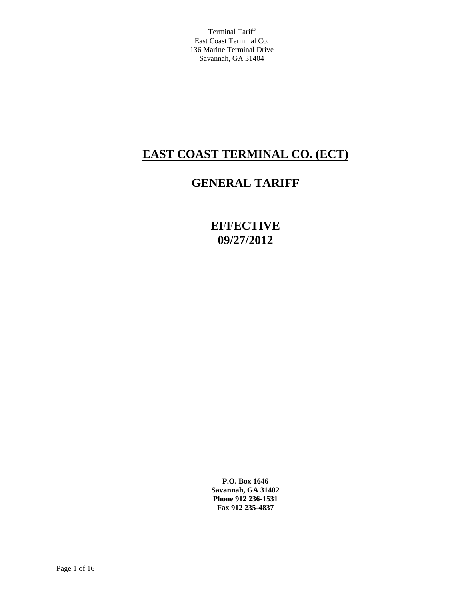# **EAST COAST TERMINAL CO. (ECT)**

# **GENERAL TARIFF**

**EFFECTIVE 09/27/2012**

**P.O. Box 1646 Savannah, GA 31402 Phone 912 236-1531 Fax 912 235-4837**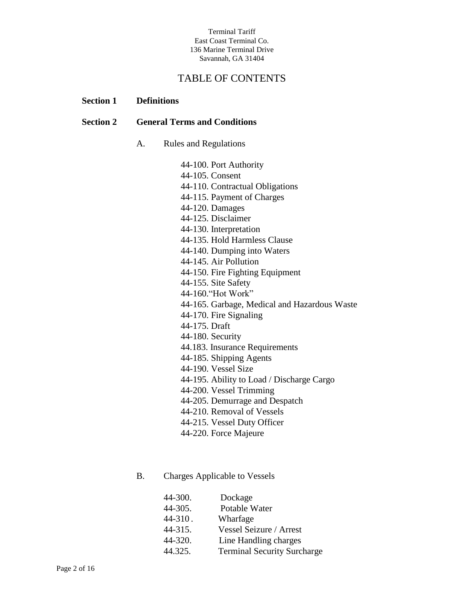## TABLE OF CONTENTS

## **Section 1 Definitions**

## **Section 2 General Terms and Conditions**

A. Rules and Regulations

44-100. Port Authority 44-105. Consent 44-110. Contractual Obligations 44-115. Payment of Charges 44-120. Damages 44-125. Disclaimer 44-130. Interpretation 44-135. Hold Harmless Clause 44-140. Dumping into Waters 44-145. Air Pollution 44-150. Fire Fighting Equipment 44-155. Site Safety 44-160."Hot Work" 44-165. Garbage, Medical and Hazardous Waste 44-170. Fire Signaling 44-175. Draft 44-180. Security 44.183. Insurance Requirements 44-185. Shipping Agents 44-190. Vessel Size 44-195. Ability to Load / Discharge Cargo 44-200. Vessel Trimming 44-205. Demurrage and Despatch 44-210. Removal of Vessels 44-215. Vessel Duty Officer 44-220. Force Majeure

## B. Charges Applicable to Vessels

| 44-300. | Dockage                            |
|---------|------------------------------------|
| 44-305. | Potable Water                      |
| 44-310. | Wharfage                           |
| 44-315. | Vessel Seizure / Arrest            |
| 44-320. | Line Handling charges              |
| 44.325. | <b>Terminal Security Surcharge</b> |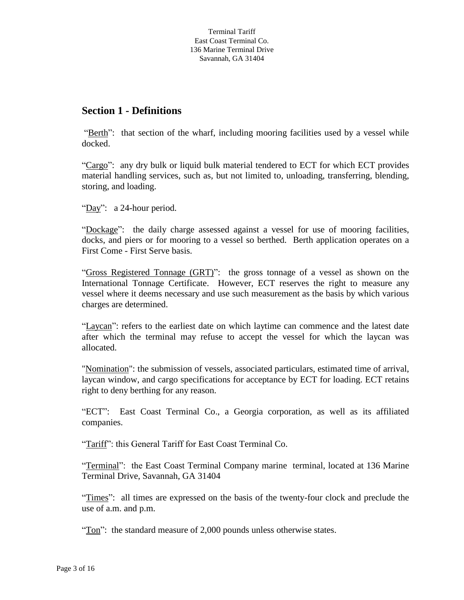## **Section 1 - Definitions**

"Berth": that section of the wharf, including mooring facilities used by a vessel while docked.

"Cargo": any dry bulk or liquid bulk material tendered to ECT for which ECT provides material handling services, such as, but not limited to, unloading, transferring, blending, storing, and loading.

"Day": a 24-hour period.

"Dockage": the daily charge assessed against a vessel for use of mooring facilities, docks, and piers or for mooring to a vessel so berthed. Berth application operates on a First Come - First Serve basis.

"Gross Registered Tonnage (GRT)": the gross tonnage of a vessel as shown on the International Tonnage Certificate. However, ECT reserves the right to measure any vessel where it deems necessary and use such measurement as the basis by which various charges are determined.

"Laycan": refers to the earliest date on which laytime can commence and the latest date after which the terminal may refuse to accept the vessel for which the laycan was allocated.

"Nomination": the submission of vessels, associated particulars, estimated time of arrival, laycan window, and cargo specifications for acceptance by ECT for loading. ECT retains right to deny berthing for any reason.

"ECT": East Coast Terminal Co., a Georgia corporation, as well as its affiliated companies.

"Tariff": this General Tariff for East Coast Terminal Co.

"Terminal": the East Coast Terminal Company marine terminal, located at 136 Marine Terminal Drive, Savannah, GA 31404

"Times": all times are expressed on the basis of the twenty-four clock and preclude the use of a.m. and p.m.

"Ton": the standard measure of 2,000 pounds unless otherwise states.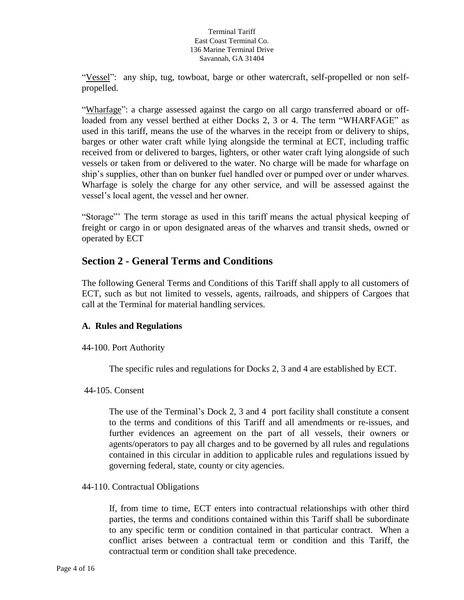"Vessel": any ship, tug, towboat, barge or other watercraft, self-propelled or non selfpropelled.

"Wharfage": a charge assessed against the cargo on all cargo transferred aboard or offloaded from any vessel berthed at either Docks 2, 3 or 4. The term "WHARFAGE" as used in this tariff, means the use of the wharves in the receipt from or delivery to ships, barges or other water craft while lying alongside the terminal at ECT, including traffic received from or delivered to barges, lighters, or other water craft lying alongside of such vessels or taken from or delivered to the water. No charge will be made for wharfage on ship's supplies, other than on bunker fuel handled over or pumped over or under wharves. Wharfage is solely the charge for any other service, and will be assessed against the vessel's local agent, the vessel and her owner.

"Storage"' The term storage as used in this tariff means the actual physical keeping of freight or cargo in or upon designated areas of the wharves and transit sheds, owned or operated by ECT

## **Section 2 - General Terms and Conditions**

The following General Terms and Conditions of this Tariff shall apply to all customers of ECT, such as but not limited to vessels, agents, railroads, and shippers of Cargoes that call at the Terminal for material handling services.

## **A. Rules and Regulations**

## 44-100. Port Authority

The specific rules and regulations for Docks 2, 3 and 4 are established by ECT.

## 44-105. Consent

The use of the Terminal's Dock 2, 3 and 4 port facility shall constitute a consent to the terms and conditions of this Tariff and all amendments or re-issues, and further evidences an agreement on the part of all vessels, their owners or agents/operators to pay all charges and to be governed by all rules and regulations contained in this circular in addition to applicable rules and regulations issued by governing federal, state, county or city agencies.

## 44-110. Contractual Obligations

If, from time to time, ECT enters into contractual relationships with other third parties, the terms and conditions contained within this Tariff shall be subordinate to any specific term or condition contained in that particular contract. When a conflict arises between a contractual term or condition and this Tariff, the contractual term or condition shall take precedence.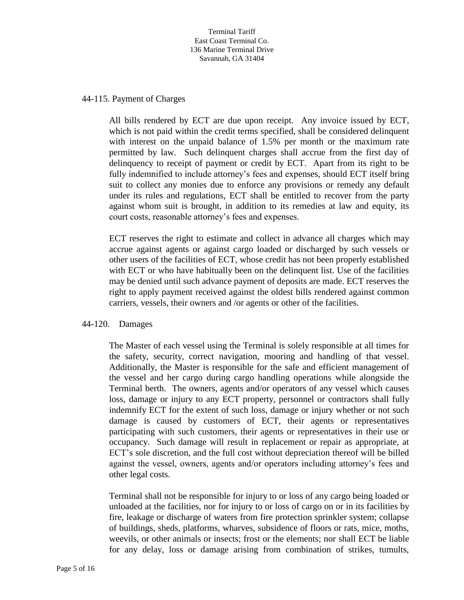#### 44-115. Payment of Charges

All bills rendered by ECT are due upon receipt. Any invoice issued by ECT, which is not paid within the credit terms specified, shall be considered delinquent with interest on the unpaid balance of 1.5% per month or the maximum rate permitted by law. Such delinquent charges shall accrue from the first day of delinquency to receipt of payment or credit by ECT. Apart from its right to be fully indemnified to include attorney's fees and expenses, should ECT itself bring suit to collect any monies due to enforce any provisions or remedy any default under its rules and regulations, ECT shall be entitled to recover from the party against whom suit is brought, in addition to its remedies at law and equity, its court costs, reasonable attorney's fees and expenses.

ECT reserves the right to estimate and collect in advance all charges which may accrue against agents or against cargo loaded or discharged by such vessels or other users of the facilities of ECT, whose credit has not been properly established with ECT or who have habitually been on the delinquent list. Use of the facilities may be denied until such advance payment of deposits are made. ECT reserves the right to apply payment received against the oldest bills rendered against common carriers, vessels, their owners and /or agents or other of the facilities.

#### 44-120. Damages

The Master of each vessel using the Terminal is solely responsible at all times for the safety, security, correct navigation, mooring and handling of that vessel. Additionally, the Master is responsible for the safe and efficient management of the vessel and her cargo during cargo handling operations while alongside the Terminal berth. The owners, agents and/or operators of any vessel which causes loss, damage or injury to any ECT property, personnel or contractors shall fully indemnify ECT for the extent of such loss, damage or injury whether or not such damage is caused by customers of ECT, their agents or representatives participating with such customers, their agents or representatives in their use or occupancy. Such damage will result in replacement or repair as appropriate, at ECT's sole discretion, and the full cost without depreciation thereof will be billed against the vessel, owners, agents and/or operators including attorney's fees and other legal costs.

Terminal shall not be responsible for injury to or loss of any cargo being loaded or unloaded at the facilities, nor for injury to or loss of cargo on or in its facilities by fire, leakage or discharge of waters from fire protection sprinkler system; collapse of buildings, sheds, platforms, wharves, subsidence of floors or rats, mice, moths, weevils, or other animals or insects; frost or the elements; nor shall ECT be liable for any delay, loss or damage arising from combination of strikes, tumults,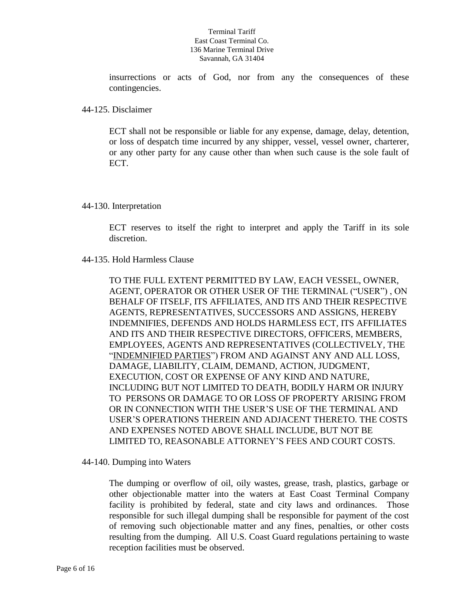insurrections or acts of God, nor from any the consequences of these contingencies.

## 44-125. Disclaimer

ECT shall not be responsible or liable for any expense, damage, delay, detention, or loss of despatch time incurred by any shipper, vessel, vessel owner, charterer, or any other party for any cause other than when such cause is the sole fault of ECT.

## 44-130. Interpretation

ECT reserves to itself the right to interpret and apply the Tariff in its sole discretion.

## 44-135. Hold Harmless Clause

TO THE FULL EXTENT PERMITTED BY LAW, EACH VESSEL, OWNER, AGENT, OPERATOR OR OTHER USER OF THE TERMINAL ("USER") , ON BEHALF OF ITSELF, ITS AFFILIATES, AND ITS AND THEIR RESPECTIVE AGENTS, REPRESENTATIVES, SUCCESSORS AND ASSIGNS, HEREBY INDEMNIFIES, DEFENDS AND HOLDS HARMLESS ECT, ITS AFFILIATES AND ITS AND THEIR RESPECTIVE DIRECTORS, OFFICERS, MEMBERS, EMPLOYEES, AGENTS AND REPRESENTATIVES (COLLECTIVELY, THE "INDEMNIFIED PARTIES") FROM AND AGAINST ANY AND ALL LOSS, DAMAGE, LIABILITY, CLAIM, DEMAND, ACTION, JUDGMENT, EXECUTION, COST OR EXPENSE OF ANY KIND AND NATURE, INCLUDING BUT NOT LIMITED TO DEATH, BODILY HARM OR INJURY TO PERSONS OR DAMAGE TO OR LOSS OF PROPERTY ARISING FROM OR IN CONNECTION WITH THE USER'S USE OF THE TERMINAL AND USER'S OPERATIONS THEREIN AND ADJACENT THERETO. THE COSTS AND EXPENSES NOTED ABOVE SHALL INCLUDE, BUT NOT BE LIMITED TO, REASONABLE ATTORNEY'S FEES AND COURT COSTS.

44-140. Dumping into Waters

The dumping or overflow of oil, oily wastes, grease, trash, plastics, garbage or other objectionable matter into the waters at East Coast Terminal Company facility is prohibited by federal, state and city laws and ordinances. Those responsible for such illegal dumping shall be responsible for payment of the cost of removing such objectionable matter and any fines, penalties, or other costs resulting from the dumping. All U.S. Coast Guard regulations pertaining to waste reception facilities must be observed.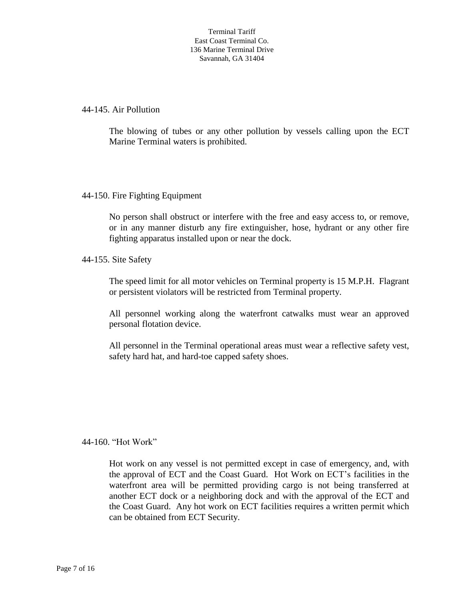44-145. Air Pollution

The blowing of tubes or any other pollution by vessels calling upon the ECT Marine Terminal waters is prohibited.

## 44-150. Fire Fighting Equipment

No person shall obstruct or interfere with the free and easy access to, or remove, or in any manner disturb any fire extinguisher, hose, hydrant or any other fire fighting apparatus installed upon or near the dock.

44-155. Site Safety

The speed limit for all motor vehicles on Terminal property is 15 M.P.H. Flagrant or persistent violators will be restricted from Terminal property.

All personnel working along the waterfront catwalks must wear an approved personal flotation device.

All personnel in the Terminal operational areas must wear a reflective safety vest, safety hard hat, and hard-toe capped safety shoes.

## 44-160. "Hot Work"

Hot work on any vessel is not permitted except in case of emergency, and, with the approval of ECT and the Coast Guard. Hot Work on ECT's facilities in the waterfront area will be permitted providing cargo is not being transferred at another ECT dock or a neighboring dock and with the approval of the ECT and the Coast Guard. Any hot work on ECT facilities requires a written permit which can be obtained from ECT Security.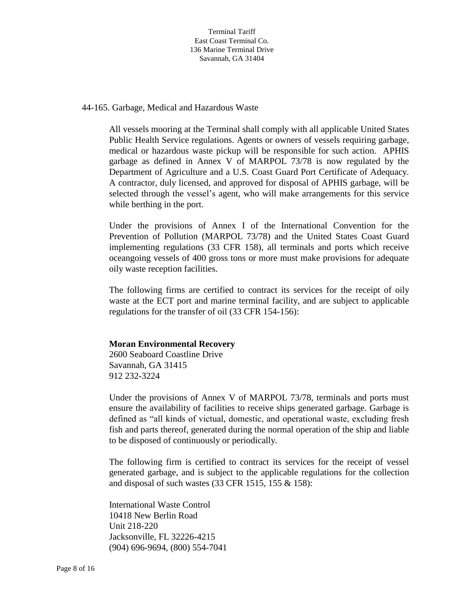44-165. Garbage, Medical and Hazardous Waste

All vessels mooring at the Terminal shall comply with all applicable United States Public Health Service regulations. Agents or owners of vessels requiring garbage, medical or hazardous waste pickup will be responsible for such action. APHIS garbage as defined in Annex V of MARPOL 73/78 is now regulated by the Department of Agriculture and a U.S. Coast Guard Port Certificate of Adequacy. A contractor, duly licensed, and approved for disposal of APHIS garbage, will be selected through the vessel's agent, who will make arrangements for this service while berthing in the port.

Under the provisions of Annex I of the International Convention for the Prevention of Pollution (MARPOL 73/78) and the United States Coast Guard implementing regulations (33 CFR 158), all terminals and ports which receive oceangoing vessels of 400 gross tons or more must make provisions for adequate oily waste reception facilities.

The following firms are certified to contract its services for the receipt of oily waste at the ECT port and marine terminal facility, and are subject to applicable regulations for the transfer of oil (33 CFR 154-156):

## **Moran Environmental Recovery**

2600 Seaboard Coastline Drive Savannah, GA 31415 912 232-3224

Under the provisions of Annex V of MARPOL 73/78, terminals and ports must ensure the availability of facilities to receive ships generated garbage. Garbage is defined as "all kinds of victual, domestic, and operational waste, excluding fresh fish and parts thereof, generated during the normal operation of the ship and liable to be disposed of continuously or periodically.

The following firm is certified to contract its services for the receipt of vessel generated garbage, and is subject to the applicable regulations for the collection and disposal of such wastes (33 CFR 1515, 155 & 158):

International Waste Control 10418 New Berlin Road Unit 218-220 Jacksonville, FL 32226-4215 (904) 696-9694, (800) 554-7041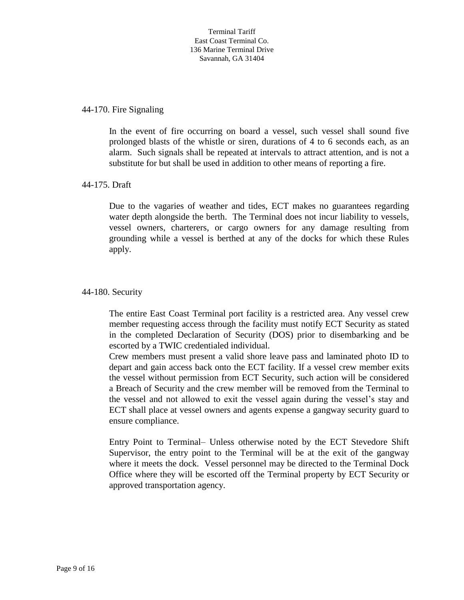## 44-170. Fire Signaling

In the event of fire occurring on board a vessel, such vessel shall sound five prolonged blasts of the whistle or siren, durations of 4 to 6 seconds each, as an alarm. Such signals shall be repeated at intervals to attract attention, and is not a substitute for but shall be used in addition to other means of reporting a fire.

## 44-175. Draft

Due to the vagaries of weather and tides, ECT makes no guarantees regarding water depth alongside the berth. The Terminal does not incur liability to vessels, vessel owners, charterers, or cargo owners for any damage resulting from grounding while a vessel is berthed at any of the docks for which these Rules apply.

## 44-180. Security

The entire East Coast Terminal port facility is a restricted area. Any vessel crew member requesting access through the facility must notify ECT Security as stated in the completed Declaration of Security (DOS) prior to disembarking and be escorted by a TWIC credentialed individual.

Crew members must present a valid shore leave pass and laminated photo ID to depart and gain access back onto the ECT facility. If a vessel crew member exits the vessel without permission from ECT Security, such action will be considered a Breach of Security and the crew member will be removed from the Terminal to the vessel and not allowed to exit the vessel again during the vessel's stay and ECT shall place at vessel owners and agents expense a gangway security guard to ensure compliance.

Entry Point to Terminal– Unless otherwise noted by the ECT Stevedore Shift Supervisor, the entry point to the Terminal will be at the exit of the gangway where it meets the dock. Vessel personnel may be directed to the Terminal Dock Office where they will be escorted off the Terminal property by ECT Security or approved transportation agency.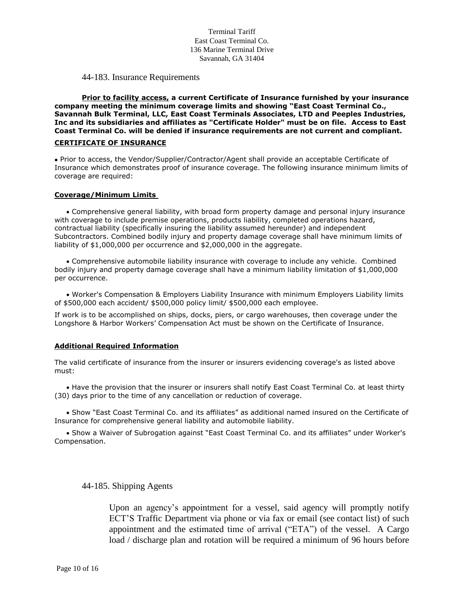#### 44-183. Insurance Requirements

**Prior to facility access, a current Certificate of Insurance furnished by your insurance company meeting the minimum coverage limits and showing "East Coast Terminal Co., Savannah Bulk Terminal, LLC, East Coast Terminals Associates, LTD and Peeples Industries, Inc and its subsidiaries and affiliates as "Certificate Holder" must be on file. Access to East Coast Terminal Co. will be denied if insurance requirements are not current and compliant.**

#### **CERTIFICATE OF INSURANCE**

 Prior to access, the Vendor/Supplier/Contractor/Agent shall provide an acceptable Certificate of Insurance which demonstrates proof of insurance coverage. The following insurance minimum limits of coverage are required:

#### **Coverage/Minimum Limits**

 Comprehensive general liability, with broad form property damage and personal injury insurance with coverage to include premise operations, products liability, completed operations hazard, contractual liability (specifically insuring the liability assumed hereunder) and independent Subcontractors. Combined bodily injury and property damage coverage shall have minimum limits of liability of \$1,000,000 per occurrence and \$2,000,000 in the aggregate.

 Comprehensive automobile liability insurance with coverage to include any vehicle. Combined bodily injury and property damage coverage shall have a minimum liability limitation of \$1,000,000 per occurrence.

 Worker's Compensation & Employers Liability Insurance with minimum Employers Liability limits of \$500,000 each accident/ \$500,000 policy limit/ \$500,000 each employee.

If work is to be accomplished on ships, docks, piers, or cargo warehouses, then coverage under the Longshore & Harbor Workers' Compensation Act must be shown on the Certificate of Insurance.

#### **Additional Required Information**

The valid certificate of insurance from the insurer or insurers evidencing coverage's as listed above must:

 Have the provision that the insurer or insurers shall notify East Coast Terminal Co. at least thirty (30) days prior to the time of any cancellation or reduction of coverage.

 Show "East Coast Terminal Co. and its affiliates" as additional named insured on the Certificate of Insurance for comprehensive general liability and automobile liability.

 Show a Waiver of Subrogation against "East Coast Terminal Co. and its affiliates" under Worker's Compensation.

44-185. Shipping Agents

Upon an agency's appointment for a vessel, said agency will promptly notify ECT'S Traffic Department via phone or via fax or email (see contact list) of such appointment and the estimated time of arrival ("ETA") of the vessel. A Cargo load / discharge plan and rotation will be required a minimum of 96 hours before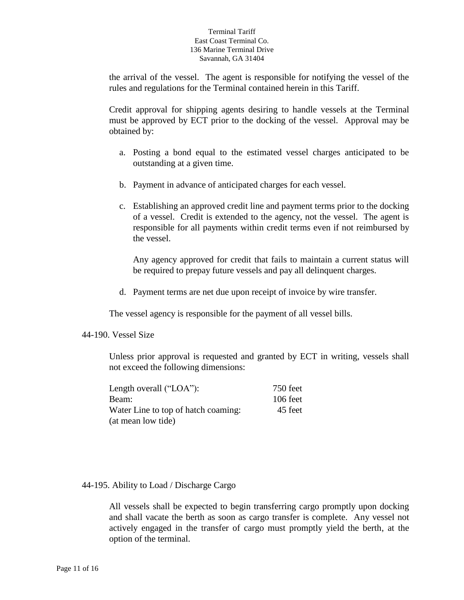the arrival of the vessel. The agent is responsible for notifying the vessel of the rules and regulations for the Terminal contained herein in this Tariff.

Credit approval for shipping agents desiring to handle vessels at the Terminal must be approved by ECT prior to the docking of the vessel. Approval may be obtained by:

- a. Posting a bond equal to the estimated vessel charges anticipated to be outstanding at a given time.
- b. Payment in advance of anticipated charges for each vessel.
- c. Establishing an approved credit line and payment terms prior to the docking of a vessel. Credit is extended to the agency, not the vessel. The agent is responsible for all payments within credit terms even if not reimbursed by the vessel.

Any agency approved for credit that fails to maintain a current status will be required to prepay future vessels and pay all delinquent charges.

d. Payment terms are net due upon receipt of invoice by wire transfer.

The vessel agency is responsible for the payment of all vessel bills.

## 44-190. Vessel Size

Unless prior approval is requested and granted by ECT in writing, vessels shall not exceed the following dimensions:

| Length overall ("LOA"):             | 750 feet   |
|-------------------------------------|------------|
| Beam:                               | $106$ feet |
| Water Line to top of hatch coaming: | 45 feet    |
| (at mean low tide)                  |            |

## 44-195. Ability to Load / Discharge Cargo

All vessels shall be expected to begin transferring cargo promptly upon docking and shall vacate the berth as soon as cargo transfer is complete. Any vessel not actively engaged in the transfer of cargo must promptly yield the berth, at the option of the terminal.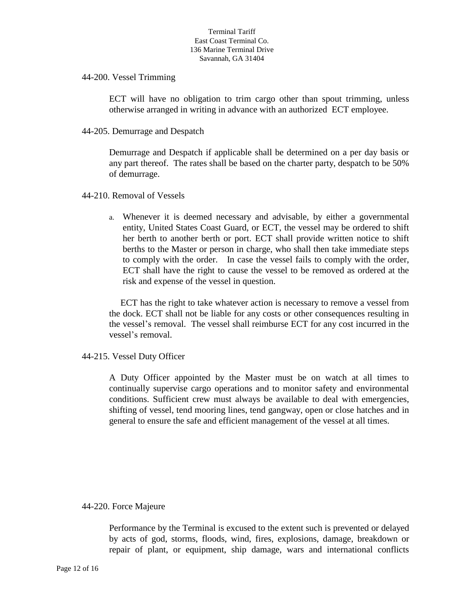44-200. Vessel Trimming

ECT will have no obligation to trim cargo other than spout trimming, unless otherwise arranged in writing in advance with an authorized ECT employee.

44-205. Demurrage and Despatch

Demurrage and Despatch if applicable shall be determined on a per day basis or any part thereof. The rates shall be based on the charter party, despatch to be 50% of demurrage.

44-210. Removal of Vessels

a. Whenever it is deemed necessary and advisable, by either a governmental entity, United States Coast Guard, or ECT, the vessel may be ordered to shift her berth to another berth or port. ECT shall provide written notice to shift berths to the Master or person in charge, who shall then take immediate steps to comply with the order. In case the vessel fails to comply with the order, ECT shall have the right to cause the vessel to be removed as ordered at the risk and expense of the vessel in question.

 ECT has the right to take whatever action is necessary to remove a vessel from the dock. ECT shall not be liable for any costs or other consequences resulting in the vessel's removal. The vessel shall reimburse ECT for any cost incurred in the vessel's removal.

## 44-215. Vessel Duty Officer

A Duty Officer appointed by the Master must be on watch at all times to continually supervise cargo operations and to monitor safety and environmental conditions. Sufficient crew must always be available to deal with emergencies, shifting of vessel, tend mooring lines, tend gangway, open or close hatches and in general to ensure the safe and efficient management of the vessel at all times.

## 44-220. Force Majeure

Performance by the Terminal is excused to the extent such is prevented or delayed by acts of god, storms, floods, wind, fires, explosions, damage, breakdown or repair of plant, or equipment, ship damage, wars and international conflicts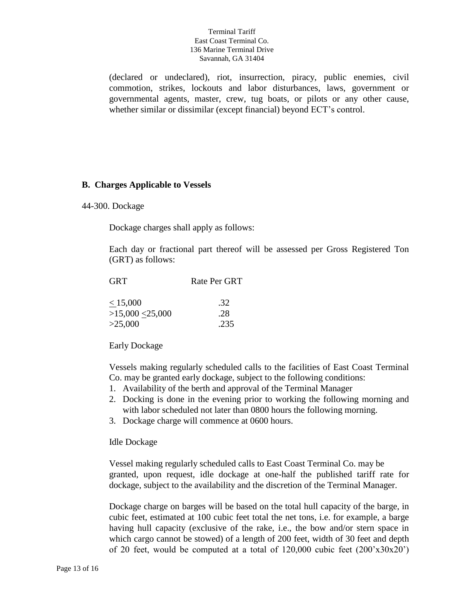(declared or undeclared), riot, insurrection, piracy, public enemies, civil commotion, strikes, lockouts and labor disturbances, laws, government or governmental agents, master, crew, tug boats, or pilots or any other cause, whether similar or dissimilar (except financial) beyond ECT's control.

## **B. Charges Applicable to Vessels**

#### 44-300. Dockage

Dockage charges shall apply as follows:

Each day or fractional part thereof will be assessed per Gross Registered Ton (GRT) as follows:

| <b>GRT</b>       | Rate Per GRT |
|------------------|--------------|
| < 15,000         | .32          |
| >15,000 < 25,000 | .28          |
| >25,000          | .235         |

Early Dockage

Vessels making regularly scheduled calls to the facilities of East Coast Terminal Co. may be granted early dockage, subject to the following conditions:

- 1. Availability of the berth and approval of the Terminal Manager
- 2. Docking is done in the evening prior to working the following morning and with labor scheduled not later than 0800 hours the following morning.
- 3. Dockage charge will commence at 0600 hours.

#### Idle Dockage

 Vessel making regularly scheduled calls to East Coast Terminal Co. may be granted, upon request, idle dockage at one-half the published tariff rate for dockage, subject to the availability and the discretion of the Terminal Manager.

Dockage charge on barges will be based on the total hull capacity of the barge, in cubic feet, estimated at 100 cubic feet total the net tons, i.e. for example, a barge having hull capacity (exclusive of the rake, i.e., the bow and/or stern space in which cargo cannot be stowed) of a length of 200 feet, width of 30 feet and depth of 20 feet, would be computed at a total of 120,000 cubic feet (200'x30x20')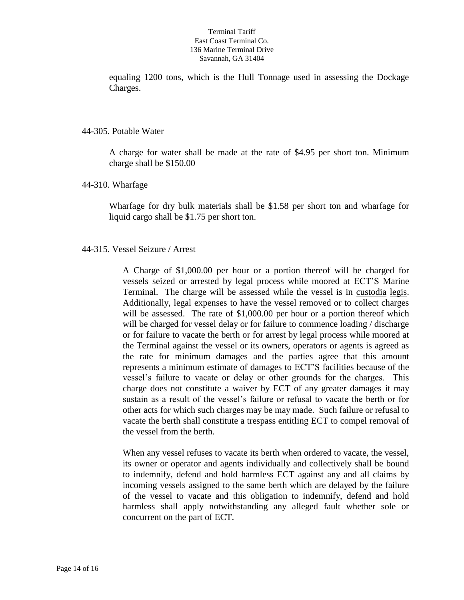equaling 1200 tons, which is the Hull Tonnage used in assessing the Dockage Charges.

## 44-305. Potable Water

A charge for water shall be made at the rate of \$4.95 per short ton. Minimum charge shall be \$150.00

## 44-310. Wharfage

Wharfage for dry bulk materials shall be \$1.58 per short ton and wharfage for liquid cargo shall be \$1.75 per short ton.

## 44-315. Vessel Seizure / Arrest

A Charge of \$1,000.00 per hour or a portion thereof will be charged for vessels seized or arrested by legal process while moored at ECT'S Marine Terminal. The charge will be assessed while the vessel is in custodia legis. Additionally, legal expenses to have the vessel removed or to collect charges will be assessed. The rate of \$1,000.00 per hour or a portion thereof which will be charged for vessel delay or for failure to commence loading / discharge or for failure to vacate the berth or for arrest by legal process while moored at the Terminal against the vessel or its owners, operators or agents is agreed as the rate for minimum damages and the parties agree that this amount represents a minimum estimate of damages to ECT'S facilities because of the vessel's failure to vacate or delay or other grounds for the charges. This charge does not constitute a waiver by ECT of any greater damages it may sustain as a result of the vessel's failure or refusal to vacate the berth or for other acts for which such charges may be may made. Such failure or refusal to vacate the berth shall constitute a trespass entitling ECT to compel removal of the vessel from the berth.

When any vessel refuses to vacate its berth when ordered to vacate, the vessel, its owner or operator and agents individually and collectively shall be bound to indemnify, defend and hold harmless ECT against any and all claims by incoming vessels assigned to the same berth which are delayed by the failure of the vessel to vacate and this obligation to indemnify, defend and hold harmless shall apply notwithstanding any alleged fault whether sole or concurrent on the part of ECT.